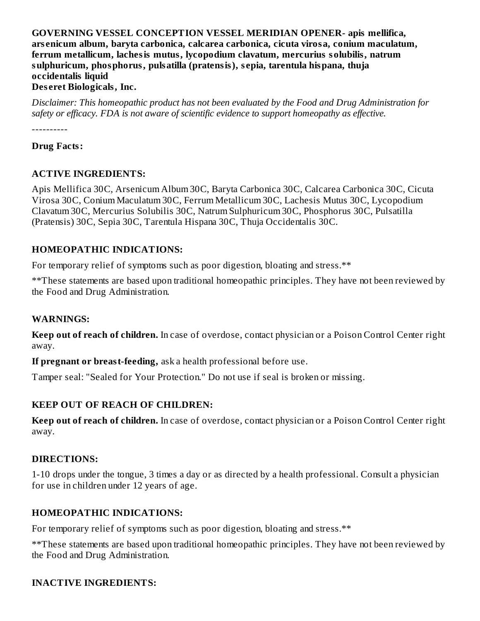**GOVERNING VESSEL CONCEPTION VESSEL MERIDIAN OPENER- apis mellifica, ars enicum album, baryta carbonica, calcarea carbonica, cicuta virosa, conium maculatum, ferrum metallicum, lachesis mutus, lycopodium clavatum, mercurius solubilis, natrum sulphuricum, phosphorus, pulsatilla (pratensis), s epia, tarentula hispana, thuja occidentalis liquid Des eret Biologicals, Inc.**

*Disclaimer: This homeopathic product has not been evaluated by the Food and Drug Administration for safety or efficacy. FDA is not aware of scientific evidence to support homeopathy as effective.*

----------

# **Drug Facts:**

# **ACTIVE INGREDIENTS:**

Apis Mellifica 30C, Arsenicum Album 30C, Baryta Carbonica 30C, Calcarea Carbonica 30C, Cicuta Virosa 30C, Conium Maculatum 30C, Ferrum Metallicum 30C, Lachesis Mutus 30C, Lycopodium Clavatum 30C, Mercurius Solubilis 30C, Natrum Sulphuricum 30C, Phosphorus 30C, Pulsatilla (Pratensis) 30C, Sepia 30C, Tarentula Hispana 30C, Thuja Occidentalis 30C.

# **HOMEOPATHIC INDICATIONS:**

For temporary relief of symptoms such as poor digestion, bloating and stress.\*\*

\*\*These statements are based upon traditional homeopathic principles. They have not been reviewed by the Food and Drug Administration.

# **WARNINGS:**

**Keep out of reach of children.** In case of overdose, contact physician or a Poison Control Center right away.

**If pregnant or breast-feeding,** ask a health professional before use.

Tamper seal: "Sealed for Your Protection." Do not use if seal is broken or missing.

# **KEEP OUT OF REACH OF CHILDREN:**

**Keep out of reach of children.** In case of overdose, contact physician or a Poison Control Center right away.

# **DIRECTIONS:**

1-10 drops under the tongue, 3 times a day or as directed by a health professional. Consult a physician for use in children under 12 years of age.

# **HOMEOPATHIC INDICATIONS:**

For temporary relief of symptoms such as poor digestion, bloating and stress.\*\*

\*\*These statements are based upon traditional homeopathic principles. They have not been reviewed by the Food and Drug Administration.

# **INACTIVE INGREDIENTS:**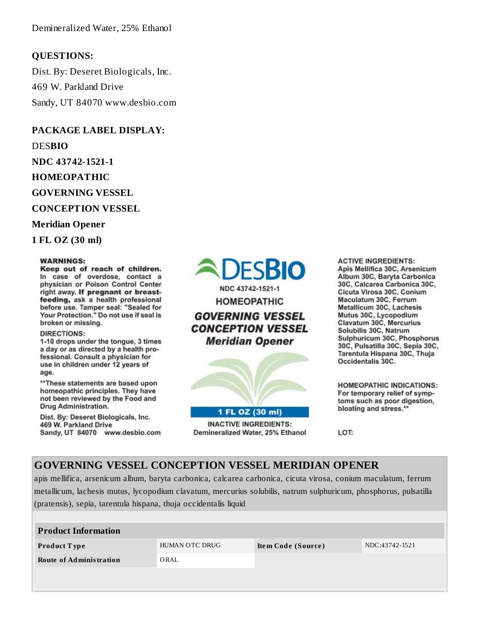Demineralized Water, 25% Ethanol

# **QUESTIONS:**

Dist. By: Deseret Biologicals, Inc. 469 W. Parkland Drive Sandy, UT 84070 www.desbio.com

## **PACKAGE LABEL DISPLAY:**

#### DES**BIO**

**NDC 43742-1521-1**

### **HOMEOPATHIC**

**GOVERNING VESSEL**

### **CONCEPTION VESSEL**

**Meridian Opener**

**1 FL OZ (30 ml)**

#### **WARNINGS:**

Keep out of reach of children. In case of overdose, contact a physician or Poison Control Center right away. If pregnant or breastfeeding, ask a health professional before use. Tamper seal: "Sealed for Your Protection." Do not use if seal is broken or missing.

#### **DIRECTIONS:**

1-10 drops under the tongue, 3 times a day or as directed by a health professional. Consult a physician for use in children under 12 years of age.

\*\*These statements are based upon homeopathic principles. They have not been reviewed by the Food and Drug Administration.

Dist. By: Deseret Biologicals, Inc. 469 W. Parkland Drive Sandy, UT 84070 www.desbio.com





**INACTIVE INGREDIENTS:** Demineralized Water, 25% Ethanol **ACTIVE INGREDIENTS:** Apis Mellifica 30C, Arsenicum Album 30C, Baryta Carbonica 30C, Calcarea Carbonica 30C, Cicuta Virosa 30C, Conium Maculatum 30C, Ferrum Metallicum 30C, Lachesis Mutus 30C, Lycopodium Clavatum 30C, Mercurius Solubilis 30C, Natrum Sulphuricum 30C, Phosphorus 30C, Pulsatilla 30C, Sepia 30C, Tarentula Hispana 30C, Thuja Occidentalis 30C.

**HOMEOPATHIC INDICATIONS:** For temporary relief of symptoms such as poor digestion, bloating and stress.\*\*

LOT:

# **GOVERNING VESSEL CONCEPTION VESSEL MERIDIAN OPENER**

apis mellifica, arsenicum album, baryta carbonica, calcarea carbonica, cicuta virosa, conium maculatum, ferrum metallicum, lachesis mutus, lycopodium clavatum, mercurius solubilis, natrum sulphuricum, phosphorus, pulsatilla (pratensis), sepia, tarentula hispana, thuja occidentalis liquid

| <b>Product Information</b> |                |                    |                |  |  |
|----------------------------|----------------|--------------------|----------------|--|--|
| <b>Product Type</b>        | HUMAN OTC DRUG | Item Code (Source) | NDC:43742-1521 |  |  |
| Route of Administration    | ORAL           |                    |                |  |  |
|                            |                |                    |                |  |  |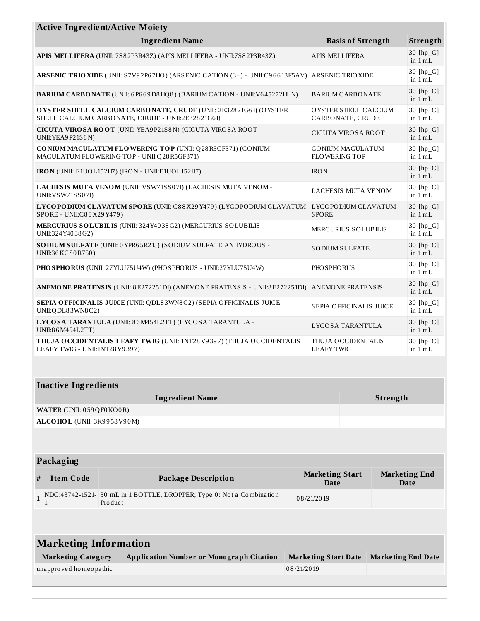|                                                                                                                                                      | <b>Active Ingredient/Active Moiety</b>                                           |                                                                                                                              |                                |                                          |          |                              |  |
|------------------------------------------------------------------------------------------------------------------------------------------------------|----------------------------------------------------------------------------------|------------------------------------------------------------------------------------------------------------------------------|--------------------------------|------------------------------------------|----------|------------------------------|--|
| <b>Ingredient Name</b>                                                                                                                               |                                                                                  |                                                                                                                              |                                | <b>Basis of Strength</b>                 |          |                              |  |
| APIS MELLIFERA (UNII: 7S82P3R43Z) (APIS MELLIFERA - UNII:7S82P3R43Z)                                                                                 |                                                                                  |                                                                                                                              |                                | <b>APIS MELLIFERA</b>                    |          |                              |  |
|                                                                                                                                                      |                                                                                  | ARSENIC TRIO XIDE (UNII: S7V92P67HO) (ARSENIC CATION (3+) - UNII:C96613F5AV)                                                 |                                | <b>ARSENIC TRIOXIDE</b>                  |          |                              |  |
|                                                                                                                                                      |                                                                                  | <b>BARIUM CARBONATE</b> (UNII: 6P669D8HQ8) (BARIUM CATION - UNII: V645272HLN)                                                |                                | <b>BARIUM CARBONATE</b>                  |          |                              |  |
|                                                                                                                                                      |                                                                                  | <b>OYSTER SHELL CALCIUM CARBONATE, CRUDE (UNII: 2E32821G61) (OYSTER</b><br>SHELL CALCIUM CARBONATE, CRUDE - UNII:2E32821G6I) |                                | OYSTER SHELL CALCIUM<br>CARBONATE, CRUDE |          |                              |  |
|                                                                                                                                                      | <b>UNII: YEA9 P21S8 N)</b>                                                       | CICUTA VIROSA ROOT (UNII: YEA9P21S8N) (CICUTA VIROSA ROOT -                                                                  |                                | CICUTA VIROSA ROOT                       |          |                              |  |
| CONIUM MACULATUM FLOWERING TOP (UNII: Q28 R5GF371) (CONIUM<br>CONIUM MACULATUM<br>MACULATUM FLOWERING TOP - UNII:Q28R5GF371)<br><b>FLOWERING TOP</b> |                                                                                  |                                                                                                                              |                                |                                          |          | $30$ [hp_C]<br>in $1 mL$     |  |
|                                                                                                                                                      |                                                                                  | IRON (UNII: E1UOL152H7) (IRON - UNII:E1UOL152H7)                                                                             | <b>IRON</b>                    |                                          |          |                              |  |
| LACHESIS MUTA VENOM (UNII: VSW71SS07I) (LACHESIS MUTA VENOM -<br>UNII:VSW71SS07I)                                                                    |                                                                                  |                                                                                                                              |                                | <b>LACHESIS MUTA VENOM</b>               |          |                              |  |
| LYCOPODIUM CLAVATUM SPORE (UNII: C88X29Y479) (LYCOPODIUM CLAVATUM LYCOPODIUM CLAVATUM<br>SPORE - UNII:C88X29Y479)                                    |                                                                                  |                                                                                                                              | <b>SPORE</b>                   |                                          |          |                              |  |
| MERCURIUS SOLUBILIS (UNII: 324Y4038G2) (MERCURIUS SOLUBILIS -<br>UNII:324Y4038G2)                                                                    |                                                                                  |                                                                                                                              |                                | MERCURIUS SOLUBILIS                      |          |                              |  |
| SO DIUM SULFATE (UNII: 0 YPR6 5R21J) (SO DIUM SULFATE ANHYDROUS -<br>UNII:36 KCS0 R750)                                                              |                                                                                  |                                                                                                                              |                                | <b>SODIUM SULFATE</b>                    |          |                              |  |
| PHOSPHORUS (UNII: 27YLU75U4W) (PHOSPHORUS - UNII:27YLU75U4W)                                                                                         |                                                                                  |                                                                                                                              |                                | <b>PHOSPHORUS</b>                        |          |                              |  |
|                                                                                                                                                      |                                                                                  | ANEMONE PRATENSIS (UNII: 8E272251DI) (ANEMONE PRATENSIS - UNII:8E272251DI)                                                   |                                | <b>ANEMONE PRATENSIS</b>                 |          |                              |  |
|                                                                                                                                                      | UNII:QDL83WN8C2)                                                                 | SEPIA OFFICINALIS JUICE (UNII: QDL83WN8C2) (SEPIA OFFICINALIS JUICE -                                                        |                                | SEPIA OFFICINALIS JUICE                  |          |                              |  |
|                                                                                                                                                      | UNII:86 M454L2TT)                                                                | LYCOSA TARANTULA (UNII: 86M454L2TT) (LYCOSA TARANTULA -                                                                      |                                | LYCOSA TARANTULA                         |          |                              |  |
| THUJA O CCIDENTALIS LEAFY TWIG (UNII: 1NT28V9397) (THUJA OCCIDENTALIS<br>LEAFY TWIG - UNII:1NT28V9397)                                               |                                                                                  |                                                                                                                              |                                | THUJA OCCIDENTALIS<br><b>LEAFY TWIG</b>  |          | 30 [hp_C]<br>in $1 mL$       |  |
|                                                                                                                                                      |                                                                                  |                                                                                                                              |                                |                                          |          |                              |  |
| <b>Inactive Ingredients</b>                                                                                                                          |                                                                                  |                                                                                                                              |                                |                                          |          |                              |  |
|                                                                                                                                                      |                                                                                  | <b>Ingredient Name</b>                                                                                                       |                                |                                          | Strength |                              |  |
|                                                                                                                                                      | WATER (UNII: 059QF0KO0R)                                                         |                                                                                                                              |                                |                                          |          |                              |  |
|                                                                                                                                                      | ALCOHOL (UNII: 3K9958V90M)                                                       |                                                                                                                              |                                |                                          |          |                              |  |
|                                                                                                                                                      |                                                                                  |                                                                                                                              |                                |                                          |          |                              |  |
|                                                                                                                                                      | Packaging                                                                        |                                                                                                                              |                                |                                          |          |                              |  |
| #                                                                                                                                                    | <b>Item Code</b>                                                                 | <b>Package Description</b>                                                                                                   | <b>Marketing Start</b><br>Date |                                          |          | <b>Marketing End</b><br>Date |  |
| $\mathbf{1}$                                                                                                                                         | NDC:43742-1521- 30 mL in 1 BOTTLE, DROPPER; Type 0: Not a Combination<br>Product |                                                                                                                              |                                | 08/21/2019                               |          |                              |  |
|                                                                                                                                                      |                                                                                  |                                                                                                                              |                                |                                          |          |                              |  |
| <b>Marketing Information</b>                                                                                                                         |                                                                                  |                                                                                                                              |                                |                                          |          |                              |  |
| <b>Marketing Category</b><br><b>Application Number or Monograph Citation</b>                                                                         |                                                                                  |                                                                                                                              | <b>Marketing Start Date</b>    |                                          |          | <b>Marketing End Date</b>    |  |
| unapproved homeopathic<br>08/21/2019                                                                                                                 |                                                                                  |                                                                                                                              |                                |                                          |          |                              |  |
|                                                                                                                                                      |                                                                                  |                                                                                                                              |                                |                                          |          |                              |  |